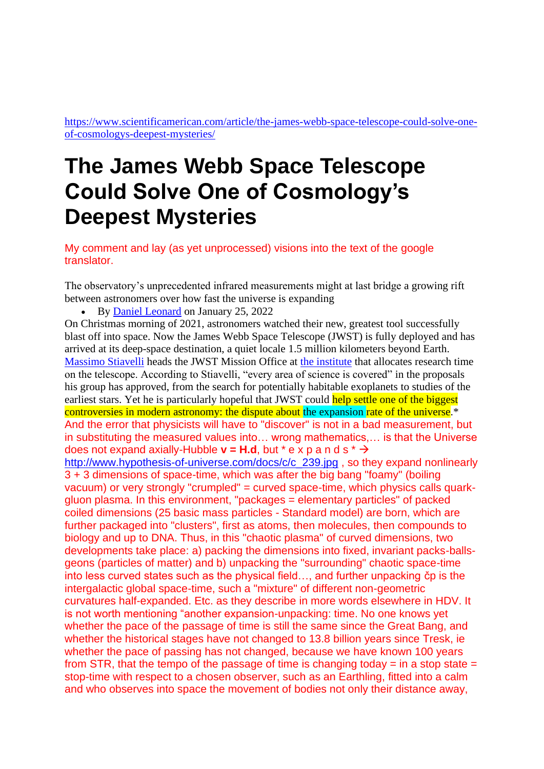[https://www.scientificamerican.com/article/the-james-webb-space-telescope-could-solve-one](https://www.scientificamerican.com/article/the-james-webb-space-telescope-could-solve-one-of-cosmologys-deepest-mysteries/)[of-cosmologys-deepest-mysteries/](https://www.scientificamerican.com/article/the-james-webb-space-telescope-could-solve-one-of-cosmologys-deepest-mysteries/)

## **The James Webb Space Telescope Could Solve One of Cosmology's Deepest Mysteries**

My comment and lay (as yet unprocessed) visions into the text of the google translator.

The observatory's unprecedented infrared measurements might at last bridge a growing rift between astronomers over how fast the universe is expanding

• By [Daniel Leonard](https://www.scientificamerican.com/author/daniel-leonard/) on January 25, 2022

On Christmas morning of 2021, astronomers watched their new, greatest tool successfully blast off into space. Now the James Webb Space Telescope (JWST) is fully deployed and has arrived at its deep-space destination, a quiet locale 1.5 million kilometers beyond Earth. [Massimo Stiavelli](https://www.stsci.edu/who-we-are/leadership/massimo-stiavelli) heads the JWST Mission Office at [the institute](https://www.stsci.edu/) that allocates research time on the telescope. According to Stiavelli, "every area of science is covered" in the proposals his group has approved, from the search for potentially habitable exoplanets to studies of the earliest stars. Yet he is particularly hopeful that JWST could help settle one of the biggest controversies in modern astronomy: the dispute about the expansion rate of the universe.<sup>\*</sup> And the error that physicists will have to "discover" is not in a bad measurement, but in substituting the measured values into… wrong mathematics,… is that the Universe does not expand axially-Hubble  $v = H.d$ , but  $* e \times p a \cdot d s * \rightarrow$ [http://www.hypothesis-of-universe.com/docs/c/c\\_239.jpg](http://www.hypothesis-of-universe.com/docs/c/c_239.jpg) , so they expand nonlinearly 3 + 3 dimensions of space-time, which was after the big bang "foamy" (boiling vacuum) or very strongly "crumpled" = curved space-time, which physics calls quarkgluon plasma. In this environment, "packages = elementary particles" of packed coiled dimensions (25 basic mass particles - Standard model) are born, which are further packaged into "clusters", first as atoms, then molecules, then compounds to biology and up to DNA. Thus, in this "chaotic plasma" of curved dimensions, two developments take place: a) packing the dimensions into fixed, invariant packs-ballsgeons (particles of matter) and b) unpacking the "surrounding" chaotic space-time into less curved states such as the physical field…, and further unpacking čp is the intergalactic global space-time, such a "mixture" of different non-geometric curvatures half-expanded. Etc. as they describe in more words elsewhere in HDV. It is not worth mentioning "another expansion-unpacking: time. No one knows yet whether the pace of the passage of time is still the same since the Great Bang, and whether the historical stages have not changed to 13.8 billion years since Tresk, ie whether the pace of passing has not changed, because we have known 100 years from STR, that the tempo of the passage of time is changing today  $=$  in a stop state  $=$ stop-time with respect to a chosen observer, such as an Earthling, fitted into a calm and who observes into space the movement of bodies not only their distance away,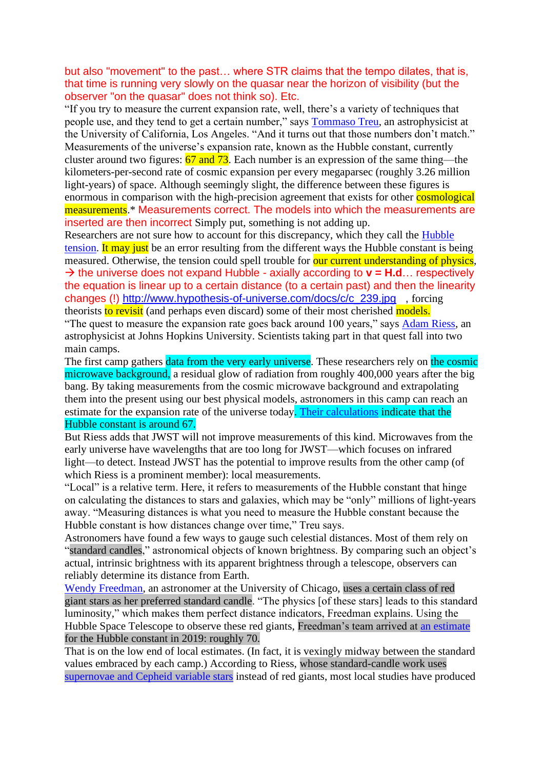## but also "movement" to the past… where STR claims that the tempo dilates, that is, that time is running very slowly on the quasar near the horizon of visibility (but the observer "on the quasar" does not think so). Etc.

"If you try to measure the current expansion rate, well, there's a variety of techniques that people use, and they tend to get a certain number," says [Tommaso Treu,](https://www.astro.ucla.edu/~tt/Welcome.html) an astrophysicist at the University of California, Los Angeles. "And it turns out that those numbers don't match." Measurements of the universe's expansion rate, known as the Hubble constant, currently cluster around two figures:  $\frac{67}{2}$  and  $\frac{73}{2}$ . Each number is an expression of the same thing—the kilometers-per-second rate of cosmic expansion per every megaparsec (roughly 3.26 million light-years) of space. Although seemingly slight, the difference between these figures is enormous in comparison with the high-precision agreement that exists for other **cosmological** measurements.<sup>\*</sup> Measurements correct. The models into which the measurements are inserted are then incorrect Simply put, something is not adding up.

Researchers are not sure how to account for this discrepancy, which they call the [Hubble](https://www.scientificamerican.com/article/how-a-dispute-over-a-single-number-became-a-cosmological-crisis/)  [tension.](https://www.scientificamerican.com/article/how-a-dispute-over-a-single-number-became-a-cosmological-crisis/) It may just be an error resulting from the different ways the Hubble constant is being measured. Otherwise, the tension could spell trouble for our current understanding of physics, → the universe does not expand Hubble - axially according to **v = H.d**… respectively the equation is linear up to a certain distance (to a certain past) and then the linearity changes (!) [http://www.hypothesis-of-universe.com/docs/c/c\\_239.jpg](http://www.hypothesis-of-universe.com/docs/c/c_239.jpg) , forcing theorists to revisit (and perhaps even discard) some of their most cherished models.

"The quest to measure the expansion rate goes back around 100 years," says [Adam Riess,](https://physics-astronomy.jhu.edu/directory/adam-riess/) an astrophysicist at Johns Hopkins University. Scientists taking part in that quest fall into two main camps.

The first camp gathers data from the very early universe. These researchers rely on the cosmic microwave background, a residual glow of radiation from roughly 400,000 years after the big bang. By taking measurements from the cosmic microwave background and extrapolating them into the present using our best physical models, astronomers in this camp can reach an estimate for the expansion rate of the universe today. [Their calculations](https://journals.aps.org/prd/abstract/10.1103/PhysRevD.104.083509) indicate that the Hubble constant is around 67.

But Riess adds that JWST will not improve measurements of this kind. Microwaves from the early universe have wavelengths that are too long for JWST—which focuses on infrared light—to detect. Instead JWST has the potential to improve results from the other camp (of which Riess is a prominent member): local measurements.

"Local" is a relative term. Here, it refers to measurements of the Hubble constant that hinge on calculating the distances to stars and galaxies, which may be "only" millions of light-years away. "Measuring distances is what you need to measure the Hubble constant because the Hubble constant is how distances change over time," Treu says.

Astronomers have found a few ways to gauge such celestial distances. Most of them rely on "standard candles," astronomical objects of known brightness. By comparing such an object's actual, intrinsic brightness with its apparent brightness through a telescope, observers can reliably determine its distance from Earth.

[Wendy Freedman,](https://astro.uchicago.edu/people/wendy-l-freedman.php) an astronomer at the University of Chicago, uses a certain class of red giant stars as her preferred standard candle. "The physics [of these stars] leads to this standard luminosity," which makes them perfect distance indicators, Freedman explains. Using the Hubble Space Telescope to observe these red giants, Freedman's team arrived at [an estimate](https://iopscience.iop.org/article/10.3847/1538-4357/ab2f73) for the Hubble constant in 2019: roughly 70.

That is on the low end of local estimates. (In fact, it is vexingly midway between the standard values embraced by each camp.) According to Riess, whose standard-candle work uses [supernovae and Cepheid variable stars](https://arxiv.org/abs/2112.04510) instead of red giants, most local studies have produced